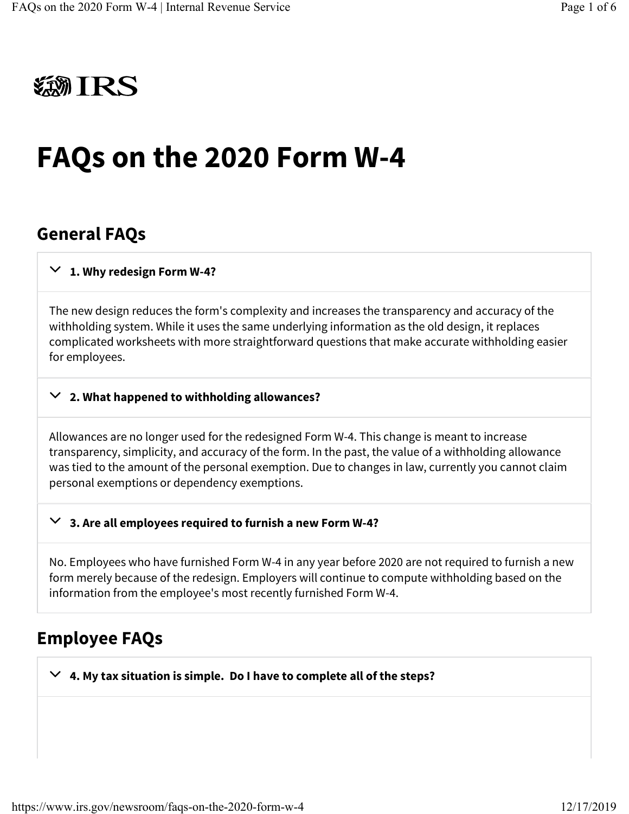# **類IRS**

# FAQs on the 2020 Form W-4

#### General FAQs

#### $\vee$  1. Why redesign Form W-4?

The new design reduces the form's complexity and increases the transparency and accuracy of the withholding system. While it uses the same underlying information as the old design, it replaces complicated worksheets with more straightforward questions that make accurate withholding easier for employees.

#### $\vee$  2. What happened to withholding allowances?

Allowances are no longer used for the redesigned Form W-4. This change is meant to increase transparency, simplicity, and accuracy of the form. In the past, the value of a withholding allowance was tied to the amount of the personal exemption. Due to changes in law, currently you cannot claim personal exemptions or dependency exemptions.

#### 3. Are all employees required to furnish a new Form W-4?  $\checkmark$

No. Employees who have furnished Form W-4 in any year before 2020 are not required to furnish a new form merely because of the redesign. Employers will continue to compute withholding based on the information from the employee's most recently furnished Form W-4.

#### Employee FAQs

 $\vee$  4. My tax situation is simple. Do I have to complete all of the steps?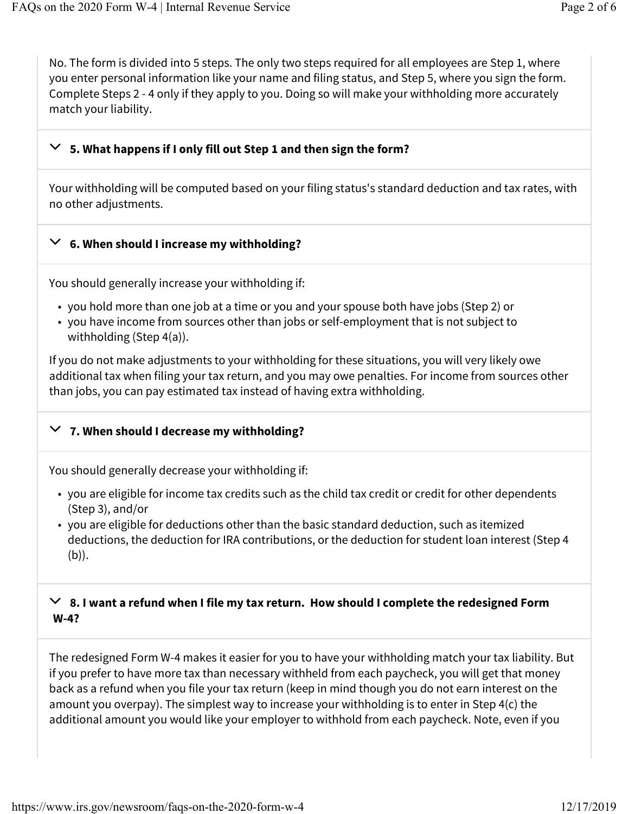No. The form is divided into 5 steps. The only two steps required for all employees are Step 1, where you enter personal information like your name and filing status, and Step 5, where you sign the form. Complete Steps 2 - 4 only if they apply to you. Doing so will make your withholding more accurately match your liability.

### $\vee~$  5. What happens if I only fill out Step 1 and then sign the form?

Your withholding will be computed based on your filing status's standard deduction and tax rates, with no other adjustments.

### $\vee$  6. When should I increase my withholding?

You should generally increase your withholding if:

- you hold more than one job at a time or you and your spouse both have jobs (Step 2) or
- you have income from sources other than jobs or self-employment that is not subject to withholding (Step 4(a)).

If you do not make adjustments to your withholding for these situations, you will very likely owe additional tax when filing your tax return, and you may owe penalties. For income from sources other than jobs, you can pay estimated tax instead of having extra withholding.

# $\vee$  7. When should I decrease my withholding?

You should generally decrease your withholding if:

- you are eligible for income tax credits such as the child tax credit or credit for other dependents (Step 3), and/or
- you are eligible for deductions other than the basic standard deduction, such as itemized deductions, the deduction for IRA contributions, or the deduction for student loan interest (Step 4 (b)).

#### $\vee$  8. I want a refund when I file my tax return. How should I complete the redesigned Form W-4?

The redesigned Form W-4 makes it easier for you to have your withholding match your tax liability. But if you prefer to have more tax than necessary withheld from each paycheck, you will get that money back as a refund when you file your tax return (keep in mind though you do not earn interest on the amount you overpay). The simplest way to increase your withholding is to enter in Step 4(c) the additional amount you would like your employer to withhold from each paycheck. Note, even if you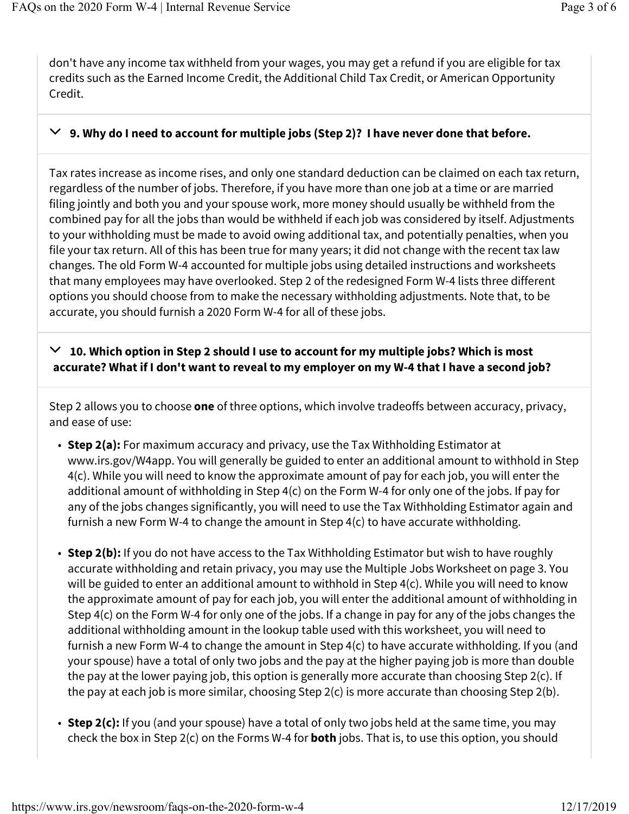don't have any income tax withheld from your wages, you may get a refund if you are eligible for tax credits such as the Earned Income Credit, the Additional Child Tax Credit, or American Opportunity Credit.

#### $\vee$  9. Why do I need to account for multiple jobs (Step 2)? I have never done that before.

Tax rates increase as income rises, and only one standard deduction can be claimed on each tax return, regardless of the number of jobs. Therefore, if you have more than one job at a time or are married filing jointly and both you and your spouse work, more money should usually be withheld from the combined pay for all the jobs than would be withheld if each job was considered by itself. Adjustments to your withholding must be made to avoid owing additional tax, and potentially penalties, when you file your tax return. All of this has been true for many years; it did not change with the recent tax law changes. The old Form W-4 accounted for multiple jobs using detailed instructions and worksheets that many employees may have overlooked. Step 2 of the redesigned Form W-4 lists three different options you should choose from to make the necessary withholding adjustments. Note that, to be accurate, you should furnish a 2020 Form W-4 for all of these jobs.

#### $\vee$  10. Which option in Step 2 should I use to account for my multiple jobs? Which is most accurate? What if I don't want to reveal to my employer on my W-4 that I have a second job?

Step 2 allows you to choose **one** of three options, which involve tradeoffs between accuracy, privacy, and ease of use:

- Step 2(a): For maximum accuracy and privacy, use the Tax Withholding Estimator at www.irs.gov/W4app. You will generally be guided to enter an additional amount to withhold in Step 4(c). While you will need to know the approximate amount of pay for each job, you will enter the additional amount of withholding in Step 4(c) on the Form W-4 for only one of the jobs. If pay for any of the jobs changes significantly, you will need to use the Tax Withholding Estimator again and furnish a new Form W-4 to change the amount in Step 4(c) to have accurate withholding.
- Step 2(b): If you do not have access to the Tax Withholding Estimator but wish to have roughly accurate withholding and retain privacy, you may use the Multiple Jobs Worksheet on page 3. You will be guided to enter an additional amount to withhold in Step 4(c). While you will need to know the approximate amount of pay for each job, you will enter the additional amount of withholding in Step 4(c) on the Form W-4 for only one of the jobs. If a change in pay for any of the jobs changes the additional withholding amount in the lookup table used with this worksheet, you will need to furnish a new Form W-4 to change the amount in Step 4(c) to have accurate withholding. If you (and your spouse) have a total of only two jobs and the pay at the higher paying job is more than double the pay at the lower paying job, this option is generally more accurate than choosing Step 2(c). If the pay at each job is more similar, choosing Step 2(c) is more accurate than choosing Step 2(b).
- Step 2(c): If you (and your spouse) have a total of only two jobs held at the same time, you may check the box in Step 2(c) on the Forms W-4 for **both** jobs. That is, to use this option, you should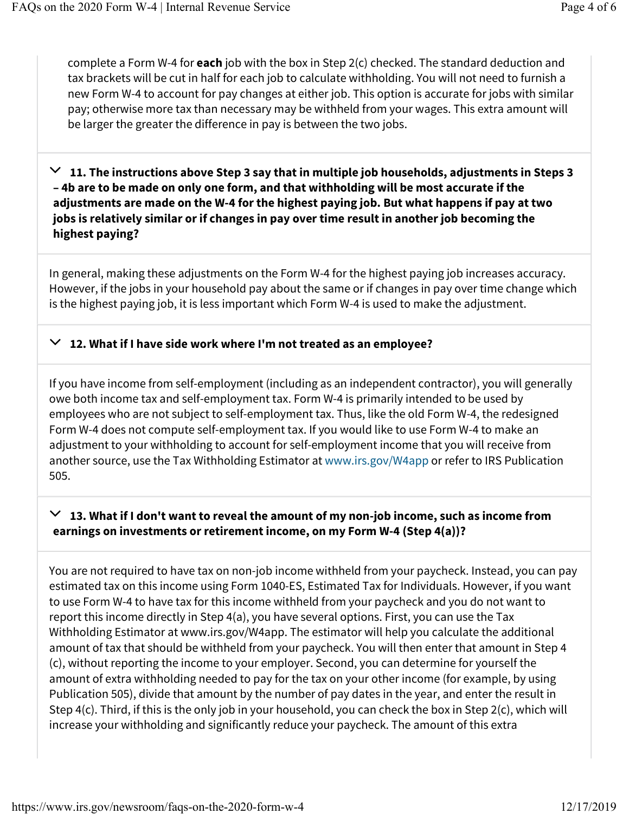complete a Form W-4 for **each** job with the box in Step  $2(c)$  checked. The standard deduction and tax brackets will be cut in half for each job to calculate withholding. You will not need to furnish a new Form W-4 to account for pay changes at either job. This option is accurate for jobs with similar pay; otherwise more tax than necessary may be withheld from your wages. This extra amount will be larger the greater the difference in pay is between the two jobs.

 $\vee$  11. The instructions above Step 3 say that in multiple job households, adjustments in Steps 3 – 4b are to be made on only one form, and that withholding will be most accurate if the adjustments are made on the W-4 for the highest paying job. But what happens if pay at two jobs is relatively similar or if changes in pay over time result in another job becoming the highest paying?

In general, making these adjustments on the Form W-4 for the highest paying job increases accuracy. However, if the jobs in your household pay about the same or if changes in pay over time change which is the highest paying job, it is less important which Form W-4 is used to make the adjustment.

#### 12. What if I have side work where I'm not treated as an employee?  $\checkmark$

If you have income from self-employment (including as an independent contractor), you will generally owe both income tax and self-employment tax. Form W-4 is primarily intended to be used by employees who are not subject to self-employment tax. Thus, like the old Form W-4, the redesigned Form W-4 does not compute self-employment tax. If you would like to use Form W-4 to make an adjustment to your withholding to account for self-employment income that you will receive from another source, use the Tax Withholding Estimator at www.irs.gov/W4app or refer to IRS Publication 505.

#### $\vee~$  13. What if I don't want to reveal the amount of my non-job income, such as income from earnings on investments or retirement income, on my Form W-4 (Step 4(a))?

You are not required to have tax on non-job income withheld from your paycheck. Instead, you can pay estimated tax on this income using Form 1040-ES, Estimated Tax for Individuals. However, if you want to use Form W-4 to have tax for this income withheld from your paycheck and you do not want to report this income directly in Step 4(a), you have several options. First, you can use the Tax Withholding Estimator at www.irs.gov/W4app. The estimator will help you calculate the additional amount of tax that should be withheld from your paycheck. You will then enter that amount in Step 4 (c), without reporting the income to your employer. Second, you can determine for yourself the amount of extra withholding needed to pay for the tax on your other income (for example, by using Publication 505), divide that amount by the number of pay dates in the year, and enter the result in Step 4(c). Third, if this is the only job in your household, you can check the box in Step 2(c), which will increase your withholding and significantly reduce your paycheck. The amount of this extra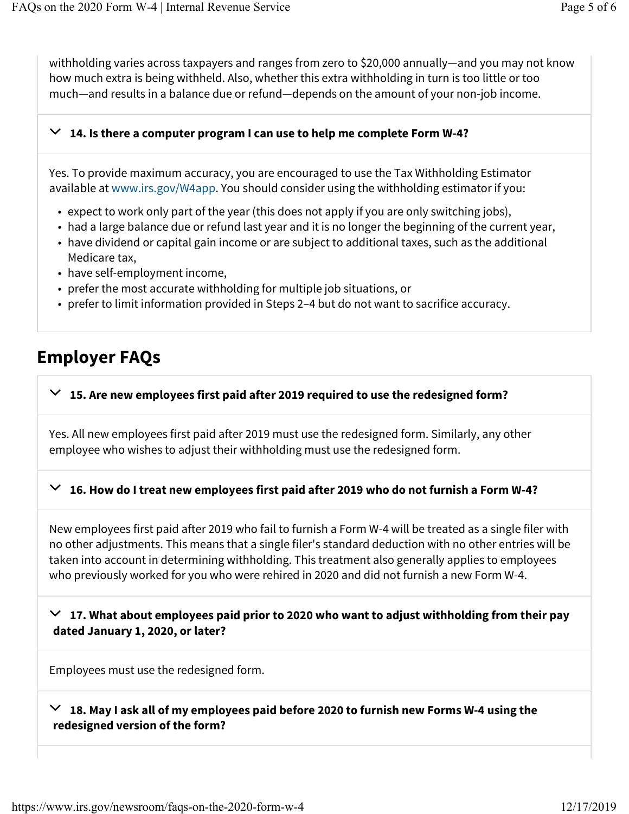withholding varies across taxpayers and ranges from zero to \$20,000 annually—and you may not know how much extra is being withheld. Also, whether this extra withholding in turn is too little or too much—and results in a balance due or refund—depends on the amount of your non-job income.

### $\vee$  14. Is there a computer program I can use to help me complete Form W-4?

Yes. To provide maximum accuracy, you are encouraged to use the Tax Withholding Estimator available at www.irs.gov/W4app. You should consider using the withholding estimator if you:

- expect to work only part of the year (this does not apply if you are only switching jobs),
- had a large balance due or refund last year and it is no longer the beginning of the current year,
- have dividend or capital gain income or are subject to additional taxes, such as the additional Medicare tax,
- have self-employment income,
- prefer the most accurate withholding for multiple job situations, or
- prefer to limit information provided in Steps 2–4 but do not want to sacrifice accuracy.

### Employer FAQs

# $\vee$  15. Are new employees first paid after 2019 required to use the redesigned form?

Yes. All new employees first paid after 2019 must use the redesigned form. Similarly, any other employee who wishes to adjust their withholding must use the redesigned form.

# $\vee$  16. How do I treat new employees first paid after 2019 who do not furnish a Form W-4?

New employees first paid after 2019 who fail to furnish a Form W-4 will be treated as a single filer with no other adjustments. This means that a single filer's standard deduction with no other entries will be taken into account in determining withholding. This treatment also generally applies to employees who previously worked for you who were rehired in 2020 and did not furnish a new Form W-4.

 $\vee$  17. What about employees paid prior to 2020 who want to adjust withholding from their pay dated January 1, 2020, or later?

Employees must use the redesigned form.

 $\vee$  18. May I ask all of my employees paid before 2020 to furnish new Forms W-4 using the redesigned version of the form?